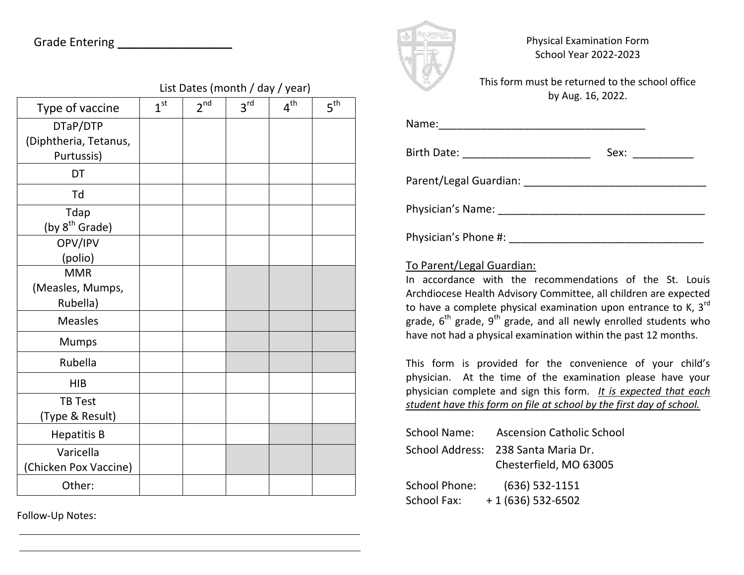|                            | List Dates (month / day / year) |                 |                 |                 |                 |  |
|----------------------------|---------------------------------|-----------------|-----------------|-----------------|-----------------|--|
| Type of vaccine            | 1 <sup>st</sup>                 | 2 <sup>nd</sup> | 3 <sup>rd</sup> | 4 <sup>th</sup> | 5 <sup>th</sup> |  |
| DTaP/DTP                   |                                 |                 |                 |                 |                 |  |
| (Diphtheria, Tetanus,      |                                 |                 |                 |                 |                 |  |
| Purtussis)                 |                                 |                 |                 |                 |                 |  |
| DT                         |                                 |                 |                 |                 |                 |  |
| Td                         |                                 |                 |                 |                 |                 |  |
| Tdap                       |                                 |                 |                 |                 |                 |  |
| (by 8 <sup>th</sup> Grade) |                                 |                 |                 |                 |                 |  |
| OPV/IPV                    |                                 |                 |                 |                 |                 |  |
| (polio)                    |                                 |                 |                 |                 |                 |  |
| <b>MMR</b>                 |                                 |                 |                 |                 |                 |  |
| (Measles, Mumps,           |                                 |                 |                 |                 |                 |  |
| Rubella)                   |                                 |                 |                 |                 |                 |  |
| <b>Measles</b>             |                                 |                 |                 |                 |                 |  |
| <b>Mumps</b>               |                                 |                 |                 |                 |                 |  |
| Rubella                    |                                 |                 |                 |                 |                 |  |
| <b>HIB</b>                 |                                 |                 |                 |                 |                 |  |
| <b>TB Test</b>             |                                 |                 |                 |                 |                 |  |
| (Type & Result)            |                                 |                 |                 |                 |                 |  |
| <b>Hepatitis B</b>         |                                 |                 |                 |                 |                 |  |
| Varicella                  |                                 |                 |                 |                 |                 |  |
| (Chicken Pox Vaccine)      |                                 |                 |                 |                 |                 |  |
| Other:                     |                                 |                 |                 |                 |                 |  |

Follow-Up Notes:



Physical Examination Form School Year 2022-2023

This form must be returned to the school office by Aug. 16, 2022.

| Birth Date: _________________________ | Sex: __________ |
|---------------------------------------|-----------------|
|                                       |                 |
|                                       |                 |
|                                       |                 |
|                                       |                 |

## To Parent/Legal Guardian:

In accordance with the recommendations of the St. Louis Archdiocese Health Advisory Committee, all children are expected to have a complete physical examination upon entrance to K,  $3^{rd}$ grade,  $6<sup>th</sup>$  grade,  $9<sup>th</sup>$  grade, and all newly enrolled students who have not had a physical examination within the past 12 months.

This form is provided for the convenience of your child's physician. At the time of the examination please have your physician complete and sign this form. *It is expected that each student have this form on file at school by the first day of school.* 

| <b>School Name:</b>  | <b>Ascension Catholic School</b>    |
|----------------------|-------------------------------------|
|                      | School Address: 238 Santa Maria Dr. |
|                      | Chesterfield, MO 63005              |
| <b>School Phone:</b> | $(636)$ 532-1151                    |
| <b>School Fax:</b>   | $+1(636)$ 532-6502                  |